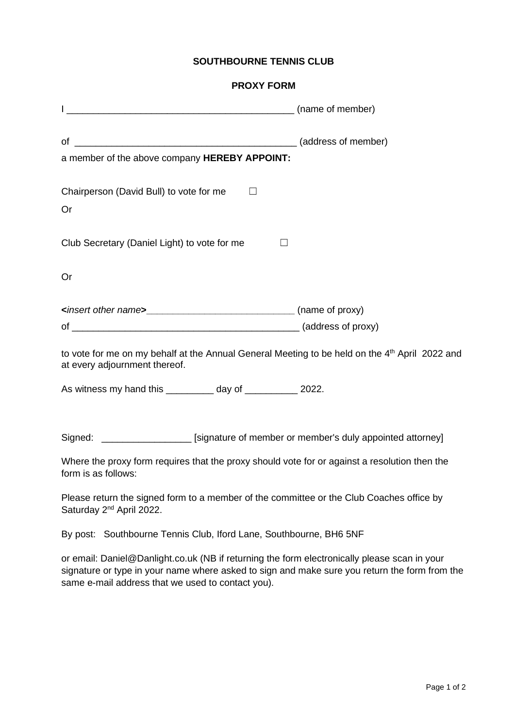## **SOUTHBOURNE TENNIS CLUB**

## **PROXY FORM**

| a member of the above company HEREBY APPOINT:                                                                                               |         |
|---------------------------------------------------------------------------------------------------------------------------------------------|---------|
| Chairperson (David Bull) to vote for me<br>П<br>Or                                                                                          |         |
| Club Secretary (Daniel Light) to vote for me                                                                                                | $\perp$ |
| Or                                                                                                                                          |         |
| <insert name="" other=""><br/> <u> </u> (name of proxy)</insert>                                                                            |         |
|                                                                                                                                             |         |
| to vote for me on my behalf at the Annual General Meeting to be held on the 4 <sup>th</sup> April 2022 and<br>at every adjournment thereof. |         |
| As witness my hand this __________ day of ___________ 2022.                                                                                 |         |
| Signed: ____________________ [signature of member or member's duly appointed attorney]                                                      |         |
| Where the proxy form requires that the proxy should vote for or against a resolution then the<br>form is as follows:                        |         |
| Please return the signed form to a member of the committee or the Club Coaches office by                                                    |         |

Saturday 2<sup>nd</sup> April 2022.

By post: Southbourne Tennis Club, Iford Lane, Southbourne, BH6 5NF

or email: Daniel@Danlight.co.uk (NB if returning the form electronically please scan in your signature or type in your name where asked to sign and make sure you return the form from the same e-mail address that we used to contact you).